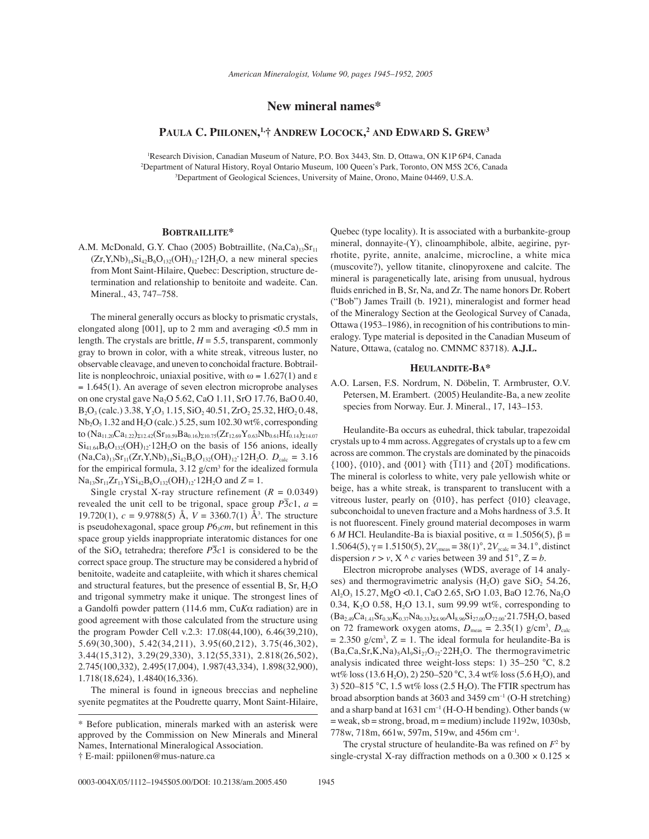# **New mineral names\***

# **PAULA C. PIILONEN, 1,Ü ANDREW LOCOCK, <sup>2</sup> AND EDWARD S. GREW3**

1 Research Division, Canadian Museum of Nature, P.O. Box 3443, Stn. D, Ottawa, ON K1P 6P4, Canada 2 Department of Natural History, Royal Ontario Museum, 100 Queen's Park, Toronto, ON M5S 2C6, Canada 3 Department of Geological Sciences, University of Maine, Orono, Maine 04469, U.S.A.

## **BOBTRAILLITE\***

A.M. McDonald, G.Y. Chao (2005) Bobtraillite, (Na,Ca)<sub>13</sub>Sr<sub>11</sub>  $(Zr, Y, Nb)_{14}Si_{42}B_6O_{132}(OH)_{12}$ <sup>12H<sub>2</sub>O, a new mineral species</sup> from Mont Saint-Hilaire, Quebec: Description, structure determination and relationship to benitoite and wadeite. Can. Mineral., 43, 747-758.

The mineral generally occurs as blocky to prismatic crystals, elongated along [001], up to 2 mm and averaging <0.5 mm in length. The crystals are brittle,  $H = 5.5$ , transparent, commonly gray to brown in color, with a white streak, vitreous luster, no observable cleavage, and uneven to conchoidal fracture. Bobtraillite is nonpleochroic, uniaxial positive, with  $ω = 1.627(1)$  and ε  $= 1.645(1)$ . An average of seven electron microprobe analyses on one crystal gave Na2O 5.62, CaO 1.11, SrO 17.76, BaO 0.40,  $B_2O_3$  (calc.) 3.38, Y<sub>2</sub>O<sub>3</sub> 1.15, SiO<sub>2</sub> 40.51, ZrO<sub>2</sub> 25.32, HfO<sub>2</sub> 0.48,  $Nb_2O_5$  1.32 and H<sub>2</sub>O (calc.) 5.25, sum 102.30 wt%, corresponding to  $(Na_{11.20}Ca_{1.22})_{\Sigma12.42}(Sr_{10.59}Ba_{0.16})_{\Sigma10.75}(Zr_{12.69}Y_{0.63}Nb_{0.61}Hf_{0.14})_{\Sigma14.07}$  $Si<sub>41.64</sub>B<sub>6</sub>O<sub>132</sub>(OH)<sub>12</sub>·12H<sub>2</sub>O$  on the basis of 156 anions, ideally  $(Na,Ca)_{13}Sr_{11}(Zr,Y,Nb)_{14}Si_{42}B_6O_{132}(OH)_{12}$ <sup>-12H<sub>2</sub>O.  $D_{calc} = 3.16$ </sup> for the empirical formula,  $3.12$  g/cm<sup>3</sup> for the idealized formula  $Na_{13}Sr_{11}Zr_{13}YSi_{42}B_6O_{132}(OH)_{12}$ <sup>-12H<sub>2</sub>O and  $Z = 1$ .</sup>

Single crystal X-ray structure refinement  $(R = 0.0349)$ revealed the unit cell to be trigonal, space group  $\overline{P3c1}$ ,  $a =$ 19.720(1),  $c = 9.9788(5)$  Å,  $V = 3360.7(1)$  Å<sup>3</sup>. The structure is pseudohexagonal, space group  $P6<sub>3</sub>cm$ , but refinement in this space group yields inappropriate interatomic distances for one of the SiO4 tetrahedra; therefore *P*3 ñ *c*1 is considered to be the correct space group. The structure may be considered a hybrid of benitoite, wadeite and catapleiite, with which it shares chemical and structural features, but the presence of essential B,  $Sr, H<sub>2</sub>O$ and trigonal symmetry make it unique. The strongest lines of a Gandolfi powder pattern (114.6 mm, Cu*K*α radiation) are in good agreement with those calculated from the structure using the program Powder Cell v.2.3: 17.08(44,100), 6.46(39,210), 5.69(30,300), 5.42(34,211), 3.95(60,212), 3.75(46,302), 3.44(15,312), 3.29(29,330), 3.12(55,331), 2.818(26,502), 2.745(100,332), 2.495(17,004), 1.987(43,334), 1.898(32,900), 1.718(18,624), 1.4840(16,336).

The mineral is found in igneous breccias and nepheline syenite pegmatites at the Poudrette quarry, Mont Saint-Hilaire, Quebec (type locality). It is associated with a burbankite-group mineral, donnayite-(Y), clinoamphibole, albite, aegirine, pyrrhotite, pyrite, annite, analcime, microcline, a white mica (muscovite?), yellow titanite, clinopyroxene and calcite. The mineral is paragenetically late, arising from unusual, hydrous fluids enriched in B, Sr, Na, and Zr. The name honors Dr. Robert ("Bob") James Traill (b. 1921), mineralogist and former head of the Mineralogy Section at the Geological Survey of Canada, Ottawa (1953-1986), in recognition of his contributions to mineralogy. Type material is deposited in the Canadian Museum of Nature, Ottawa, (catalog no. CMNMC 83718). **A.J.L.**

#### **HEULANDITE-BA\***

A.O. Larsen, F.S. Nordrum, N. Döbelin, T. Armbruster, O.V. Petersen, M. Erambert. (2005) Heulandite-Ba, a new zeolite species from Norway. Eur. J. Mineral., 17, 143-153.

Heulandite-Ba occurs as euhedral, thick tabular, trapezoidal crystals up to 4 mm across. Aggregates of crystals up to a few cm across are common. The crystals are dominated by the pinacoids  ${100}$ ,  ${010}$ , and  ${001}$  with  ${T11}$  and  ${201}$  modifications. The mineral is colorless to white, very pale yellowish white or beige, has a white streak, is transparent to translucent with a vitreous luster, pearly on {010}, has perfect {010} cleavage, subconchoidal to uneven fracture and a Mohs hardness of 3.5. It is not fluorescent. Finely ground material decomposes in warm 6 *M* HCl. Heulandite-Ba is biaxial positive, α = 1.5056(5), β = 1.5064(5),  $\gamma = 1.5150(5)$ ,  $2V_{\gamma meas} = 38(1)°$ ,  $2V_{\gamma calc} = 34.1°$ , distinct dispersion  $r > v$ ,  $X \wedge c$  varies between 39 and 51°,  $Z = b$ .

Electron microprobe analyses (WDS, average of 14 analyses) and thermogravimetric analysis  $(H_2O)$  gave  $SiO<sub>2</sub> 54.26$ , Al2O3 15.27, MgO <0.1, CaO 2.65, SrO 1.03, BaO 12.76, Na2O 0.34, K<sub>2</sub>O 0.58, H<sub>2</sub>O 13.1, sum 99.99 wt%, corresponding to  $(Ba_{2.49}Ca_{1.41}Sr_{0.30}K_{0.37}Na_{0.33})_{\Sigma4.90}Al_{8.96}Si_{27.00}O_{72.00}.21.75H_2O, based$ on 72 framework oxygen atoms,  $D_{\text{meas}} = 2.35(1) \text{ g/cm}^3$ ,  $D_{\text{calc}}$  $= 2.350$  g/cm<sup>3</sup>,  $Z = 1$ . The ideal formula for heulandite-Ba is  $(Ba,Ca,Sr,K,Na)_{5}Al_{9}Si_{27}O_{72}$ <sup>22H<sub>2</sub>O. The thermogravimetric</sup> analysis indicated three weight-loss steps: 1)  $35-250$  °C, 8.2 wt% loss (13.6 H<sub>2</sub>O), 2) 250–520 °C, 3.4 wt% loss (5.6 H<sub>2</sub>O), and 3) 520-815 °C, 1.5 wt% loss (2.5 H<sub>2</sub>O). The FTIR spectrum has broad absorption bands at 3603 and 3459  $cm^{-1}$  (O-H stretching) and a sharp band at  $1631 \text{ cm}^{-1}$  (H-O-H bending). Other bands (w  $=$  weak, sb  $=$  strong, broad, m  $=$  medium) include 1192w, 1030sb, 778w, 718m, 661w, 597m, 519w, and 456m cm<sup>-1</sup>.

The crystal structure of heulandite-Ba was refined on  $F<sup>2</sup>$  by single-crystal X-ray diffraction methods on a  $0.300 \times 0.125 \times$ 

<sup>\*</sup> Before publication, minerals marked with an asterisk were approved by the Commission on New Minerals and Mineral Names, International Mineralogical Association.

Ü E-mail: ppiilonen@mus-nature.ca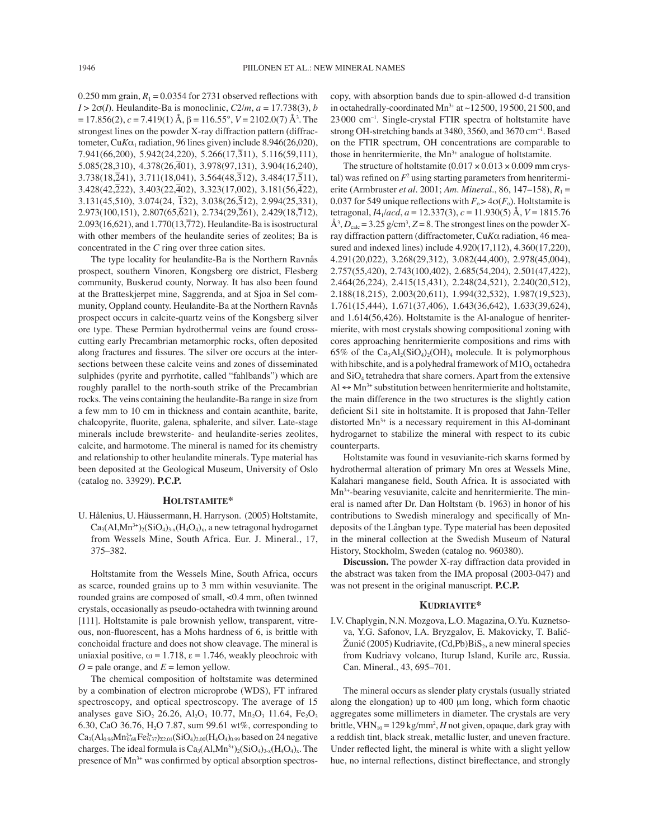0.250 mm grain,  $R_1 = 0.0354$  for 2731 observed reflections with  $I > 2\sigma(I)$ . Heulandite-Ba is monoclinic,  $C2/m$ ,  $a = 17.738(3)$ , *b*  $= 17.856(2)$ , *c* = 7.419(1) Å, β = 116.55°, *V* = 2102.0(7) Å<sup>3</sup>. The strongest lines on the powder X-ray diffraction pattern (diffractometer, Cu $K\alpha_1$  radiation, 96 lines given) include 8.946(26,020), 7.941(66,200), 5.942(24,220), 5.266(17,3ñ 11), 5.116(59,111),  $5.085(28,310)$ ,  $4.378(26,\overline{4}01)$ ,  $3.978(97,131)$ ,  $3.904(16,240)$ ,  $3.738(18,\overline{2}41), 3.711(18,041), 3.564(48,\overline{3}12), 3.484(17,\overline{5}11),$  $3.428(42,\overline{2}22)$ ,  $3.403(22,\overline{4}02)$ ,  $3.323(17,002)$ ,  $3.181(56,\overline{4}22)$ , 3.131(45,510), 3.074(24, <sup>ñ</sup> 132), 3.038(26,5ñ 12), 2.994(25,331),  $2.973(100,151)$ ,  $2.807(65,621)$ ,  $2.734(29,261)$ ,  $2.429(18,712)$ ,  $2.093(16,621)$ , and  $1.770(13,772)$ . Heulandite-Ba is isostructural with other members of the heulandite series of zeolites; Ba is concentrated in the *C* ring over three cation sites.

The type locality for heulandite-Ba is the Northern Ravnås prospect, southern Vinoren, Kongsberg ore district, Flesberg community, Buskerud county, Norway. It has also been found at the Bratteskjerpet mine, Saggrenda, and at Sjoa in Sel community, Oppland county. Heulandite-Ba at the Northern RavnÂs prospect occurs in calcite-quartz veins of the Kongsberg silver ore type. These Permian hydrothermal veins are found crosscutting early Precambrian metamorphic rocks, often deposited along fractures and fissures. The silver ore occurs at the intersections between these calcite veins and zones of disseminated sulphides (pyrite and pyrrhotite, called "fahlbands") which are roughly parallel to the north-south strike of the Precambrian rocks. The veins containing the heulandite-Ba range in size from a few mm to 10 cm in thickness and contain acanthite, barite, chalcopyrite, fluorite, galena, sphalerite, and silver. Late-stage minerals include brewsterite- and heulandite-series zeolites, calcite, and harmotome. The mineral is named for its chemistry and relationship to other heulandite minerals. Type material has been deposited at the Geological Museum, University of Oslo (catalog no. 33929). **P.C.P.**

#### **HOLTSTAMITE\***

U. Hålenius, U. Häussermann, H. Harryson. (2005) Holtstamite,  $Ca_3(Al, Mn^{3+})_2(SiO_4)_{3-x}(H_4O_4)_{x}$ , a new tetragonal hydrogarnet from Wessels Mine, South Africa. Eur. J. Mineral., 17, 375-382.

Holtstamite from the Wessels Mine, South Africa, occurs as scarce, rounded grains up to 3 mm within vesuvianite. The rounded grains are composed of small, <0.4 mm, often twinned crystals, occasionally as pseudo-octahedra with twinning around [111]. Holtstamite is pale brownish yellow, transparent, vitreous, non-fluorescent, has a Mohs hardness of 6, is brittle with conchoidal fracture and does not show cleavage. The mineral is uniaxial positive,  $\omega = 1.718$ ,  $\epsilon = 1.746$ , weakly pleochroic with  $O =$  pale orange, and  $E =$  lemon yellow.

The chemical composition of holtstamite was determined by a combination of electron microprobe (WDS), FT infrared spectroscopy, and optical spectroscopy. The average of 15 analyses gave  $SiO_2$  26.26,  $Al_2O_3$  10.77,  $Mn_2O_3$  11.64,  $Fe_2O_3$ 6.30, CaO 36.76, H<sub>2</sub>O 7.87, sum 99.61 wt%, corresponding to  $\text{Ca}_{3}(\text{Al}_{0.96}\text{Mn}_{0.68}^{3+}\text{Fe}_{0.37}^{3+})_{\text{22.01}}(\text{SiO}_{4})_{\text{2.00}}(\text{H}_{4}\text{O}_{4})_{\text{0.99}}$  based on 24 negative charges. The ideal formula is  $Ca_3(Al, Mn^{3+})_2(SiO_4)_{3-x}(H_4O_4)_x$ . The presence of  $Mn^{3+}$  was confirmed by optical absorption spectroscopy, with absorption bands due to spin-allowed d-d transition in octahedrally-coordinated Mn<sup>3+</sup> at  $\sim$ 12500, 19500, 21500, and  $23000 \text{ cm}^{-1}$ . Single-crystal FTIR spectra of holtstamite have strong OH-stretching bands at 3480, 3560, and 3670 cm<sup>-1</sup>. Based on the FTIR spectrum, OH concentrations are comparable to those in henritermierite, the  $Mn^{3+}$  analogue of holtstamite.

The structure of holtstamite  $(0.017 \times 0.013 \times 0.009$  mm crystal) was refined on  $F<sup>2</sup>$  using starting parameters from henritermierite (Armbruster *et al.* 2001; *Am. Mineral.*, 86, 147–158),  $R_1$  = 0.037 for 549 unique reflections with  $F_0 > 4\sigma(F_0)$ . Holtstamite is tetragonal, *I*41/*acd*, *a* = 12.337(3), *c* = 11.930(5) Å, *V* = 1815.76  $\AA$ <sup>3</sup>,  $D_{\text{calc}}$  = 3.25 g/cm<sup>3</sup>,  $Z$  = 8. The strongest lines on the powder Xray diffraction pattern (diffractometer, Cu*K*α radiation, 46 measured and indexed lines) include 4.920(17,112), 4.360(17,220), 4.291(20,022), 3.268(29,312), 3.082(44,400), 2.978(45,004), 2.757(55,420), 2.743(100,402), 2.685(54,204), 2.501(47,422), 2.464(26,224), 2.415(15,431), 2.248(24,521), 2.240(20,512), 2.188(18,215), 2.003(20,611), 1.994(32,532), 1.987(19,523), 1.761(15,444), 1.671(37,406), 1.643(36,642), 1.633(39,624), and 1.614(56,426). Holtstamite is the Al-analogue of henritermierite, with most crystals showing compositional zoning with cores approaching henritermierite compositions and rims with 65% of the  $Ca<sub>3</sub>Al<sub>2</sub>(SiO<sub>4</sub>)<sub>2</sub>(OH)<sub>4</sub>$  molecule. It is polymorphous with hibschite, and is a polyhedral framework of  $M1O<sub>6</sub>$  octahedra and  $SiO<sub>4</sub>$  tetrahedra that share corners. Apart from the extensive  $Al \leftrightarrow Mn^{3+}$  substitution between henritermierite and holtstamite, the main difference in the two structures is the slightly cation deficient Si1 site in holtstamite. It is proposed that Jahn-Teller distorted  $Mn^{3+}$  is a necessary requirement in this Al-dominant hydrogarnet to stabilize the mineral with respect to its cubic counterparts.

Holtstamite was found in vesuvianite-rich skarns formed by hydrothermal alteration of primary Mn ores at Wessels Mine, Kalahari manganese field, South Africa. It is associated with Mn3+-bearing vesuvianite, calcite and henritermierite. The mineral is named after Dr. Dan Holtstam (b. 1963) in honor of his contributions to Swedish mineralogy and specifically of Mndeposits of the LÂngban type. Type material has been deposited in the mineral collection at the Swedish Museum of Natural History, Stockholm, Sweden (catalog no. 960380).

**Discussion.** The powder X-ray diffraction data provided in the abstract was taken from the IMA proposal (2003-047) and was not present in the original manuscript. **P.C.P.**

#### **KUDRIAVITE\***

I.V. Chaplygin, N.N. Mozgova, L.O. Magazina, O.Yu. Kuznetsova, Y.G. Safonov, I.A. Bryzgalov, E. Makovicky, T. Balić-Žunić (2005) Kudriavite, (Cd,Pb) $\mathrm{BiS}_2$ , a new mineral species from Kudriavy volcano, Iturup Island, Kurile arc, Russia. Can. Mineral., 43, 695-701.

The mineral occurs as slender platy crystals (usually striated along the elongation) up to 400 µm long, which form chaotic aggregates some millimeters in diameter. The crystals are very brittle, VHN<sub>10</sub> = 129 kg/mm<sup>2</sup>, *H* not given, opaque, dark gray with a reddish tint, black streak, metallic luster, and uneven fracture. Under reflected light, the mineral is white with a slight yellow hue, no internal reflections, distinct bireflectance, and strongly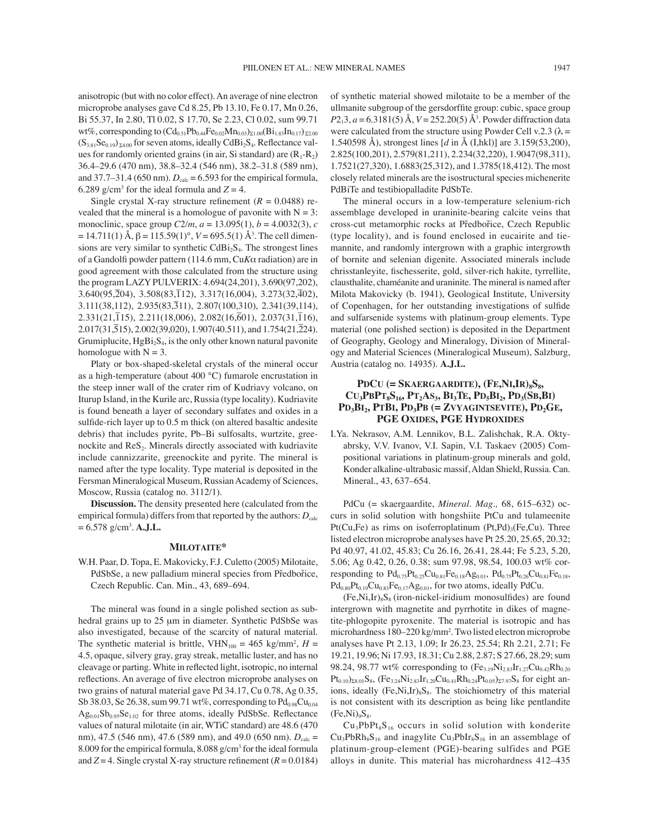anisotropic (but with no color effect). An average of nine electron microprobe analyses gave Cd 8.25, Pb 13.10, Fe 0.17, Mn 0.26, Bi 55.37, In 2.80, Tl 0.02, S 17.70, Se 2.23, Cl 0.02, sum 99.71 wt%, corresponding to  $(Cd_{0.51}Pb_{0.44}Fe_{0.02}Mn_{0.03})_{\Sigma1.00}(Bi_{1.83}In_{0.17})_{\Sigma2.00}$  $(S_{3.81}Se_{0.19})_{\Sigma4.00}$  for seven atoms, ideally CdBi<sub>2</sub>S<sub>4</sub>. Reflectance values for randomly oriented grains (in air, Si standard) are  $(R_1-R_2)$ 36.4–29.6 (470 nm), 38.8–32.4 (546 nm), 38.2–31.8 (589 nm), and 37.7 $-31.4$  (650 nm).  $D_{\text{calc}} = 6.593$  for the empirical formula, 6.289 g/cm<sup>3</sup> for the ideal formula and  $Z = 4$ .

Single crystal X-ray structure refinement  $(R = 0.0488)$  revealed that the mineral is a homologue of pavonite with  $N = 3$ : monoclinic, space group *C*2/*m*, *a* = 13.095(1), *b* = 4.0032(3), *c*  $= 14.711(1)$  Å, β = 115.59(1)°, *V* = 695.5(1) Å<sup>3</sup>. The cell dimensions are very similar to synthetic  $CdBi<sub>2</sub>S<sub>4</sub>$ . The strongest lines of a Gandolfi powder pattern (114.6 mm, Cu*K*α radiation) are in good agreement with those calculated from the structure using the program LAZY PULVERIX: 4.694(24,201), 3.690(97,202),  $3.640(95,\overline{2}04), 3.508(83,\overline{1}12), 3.317(16,004), 3.273(32,\overline{4}02),$  $3.111(38,112)$ ,  $2.935(83,311)$ ,  $2.807(100,310)$ ,  $2.341(39,114)$ ,  $2.331(21,115)$ ,  $2.211(18,006)$ ,  $2.082(16,601)$ ,  $2.037(31,116)$ ,  $2.017(31,515)$ ,  $2.002(39,020)$ ,  $1.907(40.511)$ , and  $1.754(21,224)$ . Grumiplucite,  $HgBi<sub>2</sub>S<sub>4</sub>$ , is the only other known natural pavonite homologue with  $N = 3$ .

Platy or box-shaped-skeletal crystals of the mineral occur as a high-temperature (about 400 °C) fumarole encrustation in the steep inner wall of the crater rim of Kudriavy volcano, on Iturup Island, in the Kurile arc, Russia (type locality). Kudriavite is found beneath a layer of secondary sulfates and oxides in a sulfide-rich layer up to 0.5 m thick (on altered basaltic andesite debris) that includes pyrite, Pb-Bi sulfosalts, wurtzite, greenockite and ReS<sub>2</sub>. Minerals directly associated with kudriavite include cannizzarite, greenockite and pyrite. The mineral is named after the type locality. Type material is deposited in the Fersman Mineralogical Museum, Russian Academy of Sciences, Moscow, Russia (catalog no. 3112/1).

**Discussion.** The density presented here (calculated from the empirical formula) differs from that reported by the authors:  $D_{\text{calc}}$ = 6.578 g/cm3 . **A.J.L.**

#### **MILOTAITE\***

W.H. Paar, D. Topa, E. Makovicky, F.J. Culetto (2005) Milotaite, PdSbSe, a new palladium mineral species from Předbořice, Czech Republic. Can. Min., 43, 689-694.

The mineral was found in a single polished section as subhedral grains up to 25 µm in diameter. Synthetic PdSbSe was also investigated, because of the scarcity of natural material. The synthetic material is brittle,  $VHN<sub>100</sub> = 465 kg/mm<sup>2</sup>, H =$ 4.5, opaque, silvery gray, gray streak, metallic luster, and has no cleavage or parting. White in reflected light, isotropic, no internal reflections. An average of five electron microprobe analyses on two grains of natural material gave Pd 34.17, Cu 0.78, Ag 0.35, Sb 38.03, Se 26.38, sum 99.71 wt%, corresponding to  $Pd_{0.98}Cu_{0.04}$  $Ag<sub>0.01</sub>Sb<sub>0.95</sub>Se<sub>1.02</sub>$  for three atoms, ideally PdSbSe. Reflectance values of natural milotaite (in air, WTiC standard) are 48.6 (470 nm), 47.5 (546 nm), 47.6 (589 nm), and 49.0 (650 nm).  $D_{\text{calc}} =$ 8.009 for the empirical formula,  $8.088$  g/cm<sup>3</sup> for the ideal formula and  $Z = 4$ . Single crystal X-ray structure refinement ( $R = 0.0184$ )

of synthetic material showed milotaite to be a member of the ullmanite subgroup of the gersdorffite group: cubic, space group *P*2<sub>1</sub>3, *a* = 6.3181(5) Å, *V* = 252.20(5) Å<sup>3</sup>. Powder diffraction data were calculated from the structure using Powder Cell v.2.3 ( $\lambda$  = 1.540598 Å), strongest lines [*d* in Å (I,hkl)] are 3.159(53,200), 2.825(100,201), 2.579(81,211), 2.234(32,220), 1.9047(98,311), 1.7521(27,320), 1.6883(25,312), and 1.3785(18,412). The most closely related minerals are the isostructural species michenerite PdBiTe and testibiopalladite PdSbTe.

The mineral occurs in a low-temperature selenium-rich assemblage developed in uraninite-bearing calcite veins that cross-cut metamorphic rocks at Předbořice, Czech Republic (type locality), and is found enclosed in eucairite and tiemannite, and randomly intergrown with a graphic intergrowth of bornite and selenian digenite. Associated minerals include chrisstanleyite, fischesserite, gold, silver-rich hakite, tyrrellite, clausthalite, chaméanite and uraninite. The mineral is named after Milota Makovicky (b. 1941), Geological Institute, University of Copenhagen, for her outstanding investigations of sulfide and sulfarsenide systems with platinum-group elements. Type material (one polished section) is deposited in the Department of Geography, Geology and Mineralogy, Division of Mineralogy and Material Sciences (Mineralogical Museum), Salzburg, Austria (catalog no. 14935). **A.J.L.**

# PDCU (= SKAERGAARDITE), (FE,NI,IR)<sub>8</sub>S<sub>8</sub>, **CU3PBPT8S16, PT2AS3, BI3TE, PD5BI2, PD3(SB,BI)**  PD<sub>3</sub>B<sub>I2</sub>, PTBI, PD<sub>3</sub>PB (= ZVYAGINTSEVITE), PD<sub>2</sub>GE, **PGE OXIDES, PGE HYDROXIDES**

I.Ya. Nekrasov, A.M. Lennikov, B.L. Zalishchak, R.A. Oktyabrsky, V.V. Ivanov, V.I. Sapin, V.I. Taskaev (2005) Compositional variations in platinum-group minerals and gold, Konder alkaline-ultrabasic massif, Aldan Shield, Russia. Can. Mineral., 43, 637-654.

PdCu (= skaergaardite, *Mineral. Mag.*, 68, 615-632) occurs in solid solution with hongshiite PtCu and tulameenite Pt(Cu,Fe) as rims on isoferroplatinum  $(Pt, Pd)_{3}$ (Fe,Cu). Three listed electron microprobe analyses have Pt 25.20, 25.65, 20.32; Pd 40.97, 41.02, 45.83; Cu 26.16, 26.41, 28.44; Fe 5.23, 5.20, 5.06; Ag 0.42, 0.26, 0.38; sum 97.98, 98.54, 100.03 wt% corresponding to  $Pd_{0.75}Pt_{0.25}Cu_{0.81}Fe_{0.18}Ag_{0.01}$ ,  $Pd_{0.75}Pt_{0.26}Cu_{0.81}Fe_{0.18}$ ,  $Pd_{0.80}Pt_{0.19}Cu_{0.83}Fe_{0.17}Ag_{0.01}$ , for two atoms, ideally PdCu.

 $(Fe, Ni, Ir)_{8}S_{8}$  (iron-nickel-iridium monosulfides) are found intergrown with magnetite and pyrrhotite in dikes of magnetite-phlogopite pyroxenite. The material is isotropic and has microhardness 180–220 kg/mm<sup>2</sup>. Two listed electron microprobe analyses have Pt 2.13, 1.09; Ir 26.23, 25.54; Rh 2.21, 2.71; Fe 19.21, 19.96; Ni 17.93, 18.31; Cu 2.88, 2.87; S 27.66, 28.29; sum 98.24, 98.77 wt% corresponding to  $(F_{2,19}Ni_{2,83}Ir_{1,27}Cu_{0,42}Rh_{0,20})$  $Pt_{0.10}$ )<sub>28.01</sub>S<sub>8</sub>, (Fe<sub>3.24</sub>Ni<sub>2.83</sub>Ir<sub>1.20</sub>Cu<sub>0.41</sub>Rh<sub>0.24</sub>Pt<sub>0.05</sub>)<sub>27.97</sub>S<sub>8</sub> for eight anions, ideally  $(Fe, Ni, Ir)_{8}S_{8}$ . The stoichiometry of this material is not consistent with its description as being like pentlandite  $(Fe,Ni)_{9}S_8.$ 

 $Cu<sub>3</sub>PbPt<sub>8</sub>S<sub>16</sub>$  occurs in solid solution with konderite  $Cu<sub>3</sub>PbRh<sub>8</sub>S<sub>16</sub>$  and inagylite  $Cu<sub>3</sub>PbIr<sub>8</sub>S<sub>16</sub>$  in an assemblage of platinum-group-element (PGE)-bearing sulfides and PGE alloys in dunite. This material has microhardness  $412-435$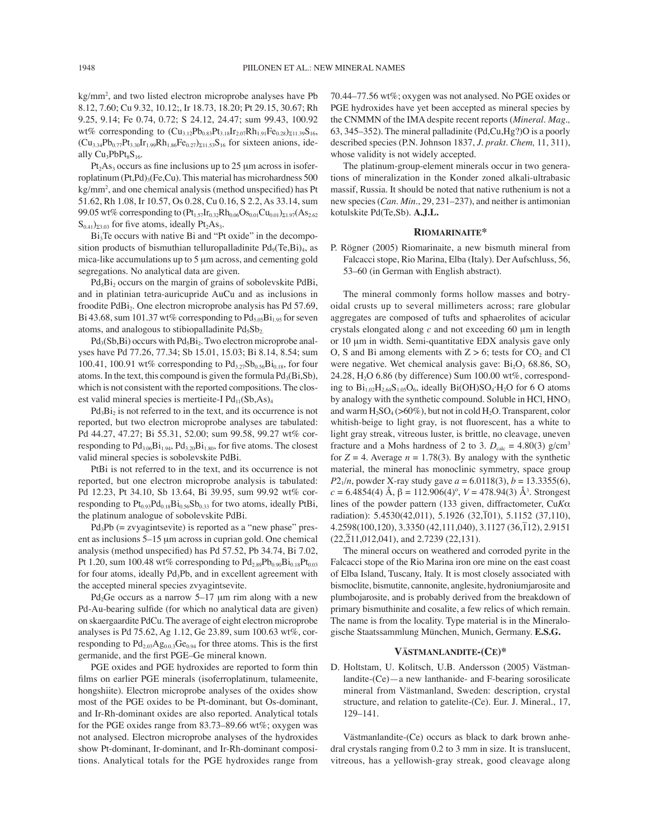kg/mm2 , and two listed electron microprobe analyses have Pb 8.12, 7.60; Cu 9.32, 10.12;, Ir 18.73, 18.20; Pt 29.15, 30.67; Rh 9.25, 9.14; Fe 0.74, 0.72; S 24.12, 24.47; sum 99.43, 100.92 wt% corresponding to  $(Cu_{3.12}Pb_{0.83}Pt_{3.18}Ir_{2.07}Rh_{1.91}Fe_{0.28})_{\Sigma11.39}S_{16}$  $(Cu_{3,34}Pb_{0.77}Pt_{3,30}Ir_{1.99}Rh_{1.86}Fe_{0.27})_{\Sigma11.53}S_{16}$  for sixteen anions, ideally  $Cu<sub>3</sub>PbPt<sub>8</sub>S<sub>16</sub>$ .

 $Pt<sub>2</sub>As<sub>3</sub> occurs as fine inclusions up to 25  $\mu$ m across in isofer$ roplatinum  $(Pt, Pd)_{3} (Fe, Cu)$ . This material has microhardness 500 kg/mm<sup>2</sup>, and one chemical analysis (method unspecified) has Pt 51.62, Rh 1.08, Ir 10.57, Os 0.28, Cu 0.16, S 2.2, As 33.14, sum 99.05 wt% corresponding to  $(Pt_{1.57}Ir_{0.32}Rh_{0.06}Os_{0.01}Cu_{0.01})_{\Sigma1.97}(As_{2.62})$  $S_{0.41}$ )<sub>23.03</sub> for five atoms, ideally Pt<sub>2</sub>As<sub>3</sub>.

 $Bi<sub>3</sub>Te$  occurs with native Bi and "Pt oxide" in the decomposition products of bismuthian telluropalladinite  $Pd_9(Te,Bi)_4$ , as mica-like accumulations up to 5 µm across, and cementing gold segregations. No analytical data are given.

 $Pd_5Bi_2$  occurs on the margin of grains of sobolevskite PdBi, and in platinian tetra-auricupride AuCu and as inclusions in froodite PdBi<sub>2</sub>. One electron microprobe analysis has Pd 57.69, Bi 43.68, sum 101.37 wt% corresponding to  $Pd_{5.05}Bi_{1.95}$  for seven atoms, and analogous to stibiopalladinite  $Pd_5Sb_2$ .

 $Pd_3(Sb,Bi)$  occurs with  $Pd_5Bi_2$ . Two electron microprobe analyses have Pd 77.26, 77.34; Sb 15.01, 15.03; Bi 8.14, 8.54; sum 100.41, 100.91 wt% corresponding to  $Pd_{3.27}Sb_{0.56}Bi_{0.18}$ , for four atoms. In the text, this compound is given the formula  $Pd_3(Bi, Sb)$ , which is not consistent with the reported compositions. The closest valid mineral species is mertieite-I  $Pd_{11}(Sb, As)_4$ 

 $Pd_3Bi_2$  is not referred to in the text, and its occurrence is not reported, but two electron microprobe analyses are tabulated: Pd 44.27, 47.27; Bi 55.31, 52.00; sum 99.58, 99.27 wt% corresponding to  $Pd_{3.06}Bi_{1.94}$ ,  $Pd_{3.20}Bi_{1.80}$ , for five atoms. The closest valid mineral species is sobolevskite PdBi.

PtBi is not referred to in the text, and its occurrence is not reported, but one electron microprobe analysis is tabulated: Pd 12.23, Pt 34.10, Sb 13.64, Bi 39.95, sum 99.92 wt% corresponding to  $Pt_{0.93}Pd_{0.18}Bi_{0.56}Sb_{0.33}$  for two atoms, ideally PtBi, the platinum analogue of sobolevskite PdBi.

 $Pd_3Pb$  (= zvyagintsevite) is reported as a "new phase" present as inclusions  $5-15 \mu m$  across in cuprian gold. One chemical analysis (method unspecified) has Pd 57.52, Pb 34.74, Bi 7.02, Pt 1.20, sum 100.48 wt% corresponding to  $Pd_{2.89}Pb_{0.90}Bi_{0.18}Pt_{0.03}$ for four atoms, ideally Pd<sub>3</sub>Pb, and in excellent agreement with the accepted mineral species zvyagintsevite.

Pd<sub>2</sub>Ge occurs as a narrow  $5-17$  µm rim along with a new Pd-Au-bearing sulfide (for which no analytical data are given) on skaergaardite PdCu. The average of eight electron microprobe analyses is Pd 75.62, Ag 1.12, Ge 23.89, sum 100.63 wt%, corresponding to  $Pd_{2.03}Ag_{0.0.3}Ge_{0.94}$  for three atoms. This is the first germanide, and the first PGE-Ge mineral known.

PGE oxides and PGE hydroxides are reported to form thin films on earlier PGE minerals (isoferroplatinum, tulameenite, hongshiite). Electron microprobe analyses of the oxides show most of the PGE oxides to be Pt-dominant, but Os-dominant, and Ir-Rh-dominant oxides are also reported. Analytical totals for the PGE oxides range from  $83.73-89.66$  wt%; oxygen was not analysed. Electron microprobe analyses of the hydroxides show Pt-dominant, Ir-dominant, and Ir-Rh-dominant compositions. Analytical totals for the PGE hydroxides range from 70.44–77.56 wt%; oxygen was not analysed. No PGE oxides or PGE hydroxides have yet been accepted as mineral species by the CNMMN of the IMA despite recent reports (*Mineral. Mag.,* 63, 345–352). The mineral palladinite (Pd,Cu,Hg?)O is a poorly described species (P.N. Johnson 1837, *J. prakt. Chem,* 11, 311), whose validity is not widely accepted.

The platinum-group-element minerals occur in two generations of mineralization in the Konder zoned alkali-ultrabasic massif, Russia. It should be noted that native ruthenium is not a new species (*Can. Min.*, 29, 231–237), and neither is antimonian kotulskite Pd(Te,Sb). **A.J.L.**

#### **RIOMARINAITE\***

P. Rögner (2005) Riomarinaite, a new bismuth mineral from Falcacci stope, Rio Marina, Elba (Italy). Der Aufschluss, 56, 53–60 (in German with English abstract).

The mineral commonly forms hollow masses and botryoidal crusts up to several millimeters across; rare globular aggregates are composed of tufts and sphaerolites of acicular crystals elongated along *c* and not exceeding 60 µm in length or 10 µm in width. Semi-quantitative EDX analysis gave only O, S and Bi among elements with  $Z > 6$ ; tests for  $CO<sub>2</sub>$  and Cl were negative. Wet chemical analysis gave:  $Bi<sub>2</sub>O<sub>3</sub>$  68.86,  $SO<sub>3</sub>$ 24.28,  $H<sub>2</sub>O$  6.86 (by difference) Sum 100.00 wt%, corresponding to  $Bi_{1.02}H_{2.64}S_{1.05}O_6$ , ideally  $Bi(OH)SO_4 \cdot H_2O$  for 6 O atoms by analogy with the synthetic compound. Soluble in  $HC1, HNO<sub>3</sub>$ and warm  $H_2SO_4$  ( $>60\%$ ), but not in cold  $H_2O$ . Transparent, color whitish-beige to light gray, is not fluorescent, has a white to light gray streak, vitreous luster, is brittle, no cleavage, uneven fracture and a Mohs hardness of 2 to 3.  $D_{\text{calc}} = 4.80(3)$  g/cm<sup>3</sup> for  $Z = 4$ . Average  $n = 1.78(3)$ . By analogy with the synthetic material, the mineral has monoclinic symmetry, space group *P*2<sub>1</sub>/*n*, powder X-ray study gave  $a = 6.0118(3)$ ,  $b = 13.3355(6)$ ,  $c = 6.4854(4)$  Å,  $\beta = 112.906(4)^\circ$ ,  $V = 478.94(3)$  Å<sup>3</sup>. Strongest lines of the powder pattern (133 given, diffractometer, Cu*K*α radiation): 5.4530(42,011), 5.1926 (32,101), 5.1152 (37,110),  $4.2598(100, 120)$ ,  $3.3350(42, 111, 040)$ ,  $3.1127(36, 112)$ ,  $2.9151$  $(22,\overline{2}11,012,041)$ , and 2.7239 (22,131).

The mineral occurs on weathered and corroded pyrite in the Falcacci stope of the Rio Marina iron ore mine on the east coast of Elba Island, Tuscany, Italy. It is most closely associated with bismoclite, bismutite, cannonite, anglesite, hydroniumjarosite and plumbojarosite, and is probably derived from the breakdown of primary bismuthinite and cosalite, a few relics of which remain. The name is from the locality. Type material is in the Mineralogische Staatssammlung München, Munich, Germany. E.S.G.

## **VƒSTMANLANDITE-(CE)\***

D. Holtstam, U. Kolitsch, U.B. Andersson (2005) Västmanlandite- $(Ce)$  – a new lanthanide- and F-bearing sorosilicate mineral from Västmanland, Sweden: description, crystal structure, and relation to gatelite-(Ce). Eur. J. Mineral., 17, 129-141.

Västmanlandite-(Ce) occurs as black to dark brown anhedral crystals ranging from 0.2 to 3 mm in size. It is translucent, vitreous, has a yellowish-gray streak, good cleavage along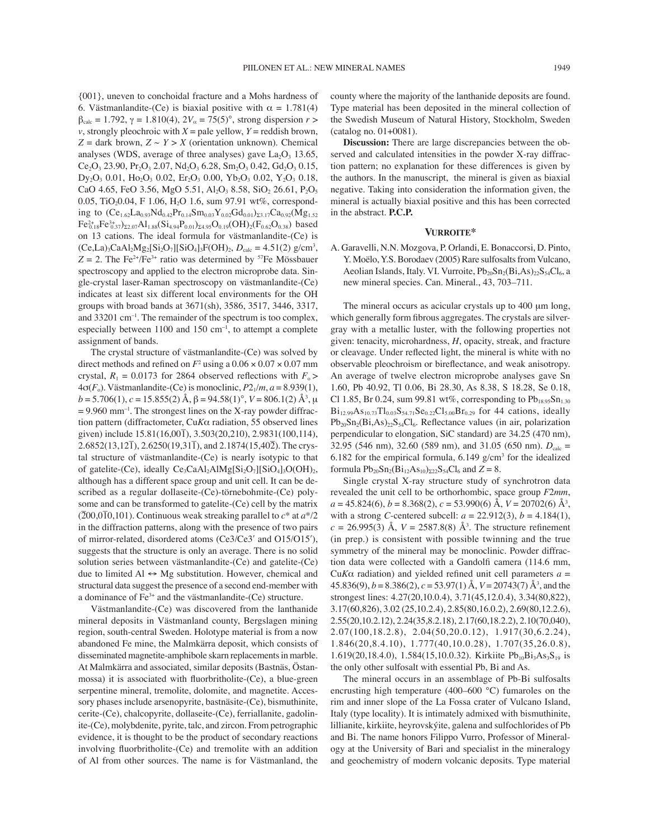{001}, uneven to conchoidal fracture and a Mohs hardness of 6. Västmanlandite-(Ce) is biaxial positive with  $\alpha = 1.781(4)$  $β_{\text{calc}} = 1.792$ , γ = 1.810(4),  $2V_{\alpha} = 75(5)^{\circ}$ , strong dispersion *r* > *v*, strongly pleochroic with  $X =$  pale yellow,  $Y =$  reddish brown,  $Z =$  dark brown,  $Z \sim Y > X$  (orientation unknown). Chemical analyses (WDS, average of three analyses) gave  $La<sub>2</sub>O<sub>3</sub> 13.65$ ,  $Ce<sub>2</sub>O<sub>3</sub> 23.90$ ,  $Pr<sub>2</sub>O<sub>3</sub> 2.07$ ,  $Nd<sub>2</sub>O<sub>3</sub> 6.28$ ,  $Sm<sub>2</sub>O<sub>3</sub> 0.42$ ,  $Gd<sub>2</sub>O<sub>3</sub> 0.15$ ,  $Dy_2O_3$  0.01,  $Ho_2O_3$  0.02,  $Er_2O_3$  0.00,  $Yb_2O_3$  0.02,  $Y_2O_3$  0.18, CaO 4.65, FeO 3.56, MgO 5.51, Al<sub>2</sub>O<sub>3</sub> 8.58, SiO<sub>2</sub> 26.61, P<sub>2</sub>O<sub>5</sub> 0.05, TiO<sub>2</sub>0.04, F 1.06, H<sub>2</sub>O 1.6, sum 97.91 wt%, corresponding to  $(Ce_{1.62}La_{0.93}Nd_{0.42}Pr_{0.14}Sm_{0.03}Y_{0.02}Gd_{0.01})_{23.17}Ca_{0.92}(Mg_{1.52})$  $Fe^{2+}_{0.18}Fe^{3+}_{0.37})_{\Sigma2.07}Al_{1.88}(Si_{4.94}P_{0.01})_{\Sigma4.95}O_{0.19}(OH)_{2}(F_{0.62}O_{0.38})$  based on 13 cations. The ideal formula for västmanlandite-(Ce) is  $(Ce, La)_{3}CaAl_{2}Mg_{2}[Si_{2}O_{7}][SiO_{4}]_{3}F(OH)_{2}, D_{calc} = 4.51(2)$  g/cm<sup>3</sup>,  $Z = 2$ . The Fe<sup>2+</sup>/Fe<sup>3+</sup> ratio was determined by <sup>57</sup>Fe Mössbauer spectroscopy and applied to the electron microprobe data. Single-crystal laser-Raman spectroscopy on västmanlandite-(Ce) indicates at least six different local environments for the OH groups with broad bands at 3671(sh), 3586, 3517, 3446, 3317, and  $33201 \text{ cm}^{-1}$ . The remainder of the spectrum is too complex, especially between  $1100$  and  $150$  cm<sup>-1</sup>, to attempt a complete assignment of bands.

The crystal structure of västmanlandite- $(Ce)$  was solved by direct methods and refined on  $F^2$  using a  $0.06 \times 0.07 \times 0.07$  mm crystal,  $R_1 = 0.0173$  for 2864 observed reflections with  $F_0$  $4\sigma(F_o)$ . Västmanlandite-(Ce) is monoclinic,  $P2_1/m$ ,  $a = 8.939(1)$ , *b* = 5.706(1), *c* = 15.855(2) Å, β = 94.58(1)°, *V* = 806.1(2) Å<sup>3</sup>, μ  $= 9.960$  mm<sup>-1</sup>. The strongest lines on the X-ray powder diffraction pattern (diffractometer, Cu*K*α radiation, 55 observed lines given) include 15.81(16,001ñ ), 3.503(20,210), 2.9831(100,114),  $2.6852(13,12\bar{1})$ ,  $2.6250(19,31\bar{1})$ , and  $2.1874(15,40\bar{2})$ . The crystal structure of västmanlandite-(Ce) is nearly isotypic to that of gatelite-(Ce), ideally  $Ce_3CaAl<sub>2</sub>AlMg[Si<sub>2</sub>O<sub>7</sub>][SiO<sub>4</sub>]<sub>3</sub>O(OH)<sub>2</sub>$ , although has a different space group and unit cell. It can be described as a regular dollaseite-(Ce)-törnebohmite-(Ce) polysome and can be transformed to gatelite-(Ce) cell by the matrix  $(200,0\overline{10},101)$ . Continuous weak streaking parallel to  $c^*$  at  $a^*/2$ in the diffraction patterns, along with the presence of two pairs of mirror-related, disordered atoms (Ce3/Ce3′ and O15/O15′), suggests that the structure is only an average. There is no solid solution series between västmanlandite- $(Ce)$  and gatelite- $(Ce)$ due to limited  $AI \leftrightarrow Mg$  substitution. However, chemical and structural data suggest the presence of a second end-member with a dominance of  $Fe<sup>3+</sup>$  and the västmanlandite-(Ce) structure.

Västmanlandite-(Ce) was discovered from the lanthanide mineral deposits in Västmanland county, Bergslagen mining region, south-central Sweden. Holotype material is from a now abandoned Fe mine, the Malmkärra deposit, which consists of disseminated magnetite-amphibole skarn replacements in marble. At Malmkärra and associated, similar deposits (Bastnäs, Ostanmossa) it is associated with fluorbritholite-(Ce), a blue-green serpentine mineral, tremolite, dolomite, and magnetite. Accessory phases include arsenopyrite, bastnäsite-(Ce), bismuthinite, cerite-(Ce), chalcopyrite, dollaseite-(Ce), ferriallanite, gadolinite-(Ce), molybdenite, pyrite, talc, and zircon. From petrographic evidence, it is thought to be the product of secondary reactions involving fluorbritholite- $(Ce)$  and tremolite with an addition of Al from other sources. The name is for Västmanland, the

county where the majority of the lanthanide deposits are found. Type material has been deposited in the mineral collection of the Swedish Museum of Natural History, Stockholm, Sweden (catalog no. 01+0081).

**Discussion:** There are large discrepancies between the observed and calculated intensities in the powder X-ray diffraction pattern; no explanation for these differences is given by the authors. In the manuscript, the mineral is given as biaxial negative. Taking into consideration the information given, the mineral is actually biaxial positive and this has been corrected in the abstract. **P.C.P.**

## **VURROITE\***

A. Garavelli, N.N. Mozgova, P. Orlandi, E. Bonaccorsi, D. Pinto, Y. Moëlo, Y.S. Borodaev (2005) Rare sulfosalts from Vulcano, Aeolian Islands, Italy. VI. Vurroite,  $Pb_{20}Sn_2(Bi,As)_{22}S_{54}Cl_6$ , a new mineral species. Can. Mineral., 43, 703-711.

The mineral occurs as acicular crystals up to 400  $\mu$ m long, which generally form fibrous aggregates. The crystals are silvergray with a metallic luster, with the following properties not given: tenacity, microhardness, *H*, opacity, streak, and fracture or cleavage. Under reflected light, the mineral is white with no observable pleochroism or bireflectance, and weak anisotropy. An average of twelve electron microprobe analyses gave Sn 1.60, Pb 40.92, Tl 0.06, Bi 28.30, As 8.38, S 18.28, Se 0.18, Cl 1.85, Br 0.24, sum 99.81 wt%, corresponding to  $Pb_{18.95}Sn_{1.30}$  $Bi_{12.99}As_{10.73}Tl_{0.03}S_{54.71}Se_{0.22}Cl_{5.00}Br_{0.29}$  for 44 cations, ideally  $Pb_{20}Sn_2(Bi, As)_{22}S_54Cl_6$ . Reflectance values (in air, polarization perpendicular to elongation, SiC standard) are 34.25 (470 nm), 32.95 (546 nm), 32.60 (589 nm), and 31.05 (650 nm).  $D_{\text{calc}} =$ 6.182 for the empirical formula,  $6.149$  g/cm<sup>3</sup> for the idealized formula  $Pb_{20}Sn_2(Bi_{12}As_{10})_{222}S_54Cl_6$  and  $Z = 8$ .

Single crystal X-ray structure study of synchrotron data revealed the unit cell to be orthorhombic, space group *F*2*mm*, *a* = 45.824(6), *b* = 8.368(2), *c* = 53.990(6) Å, *V* = 20702(6) Å3 , with a strong *C*-centered subcell:  $a = 22.912(3), b = 4.184(1),$  $c = 26.995(3)$  Å,  $V = 2587.8(8)$  Å<sup>3</sup>. The structure refinement (in prep.) is consistent with possible twinning and the true symmetry of the mineral may be monoclinic. Powder diffraction data were collected with a Gandolfi camera (114.6 mm, Cu*K* $\alpha$  radiation) and yielded refined unit cell parameters  $a =$ 45.836(9), *b* = 8.386(2), *c* = 53.97(1) Å, *V* = 20743(7) Å3 , and the strongest lines: 4.27(20,10.0.4), 3.71(45,12.0.4), 3.34(80,822), 3.17(60,826), 3.02 (25,10.2.4), 2.85(80,16.0.2), 2.69(80,12.2.6), 2.55(20,10.2.12), 2.24(35,8.2.18), 2.17(60,18.2.2), 2.10(70,040), 2.07(100,18.2.8), 2.04(50,20.0.12), 1.917(30,6.2.24), 1.846(20,8.4.10), 1.777(40,10.0.28), 1.707(35,26.0.8), 1.619(20,18.4.0), 1.584(15,10.0.32). Kirkiite Pb<sub>10</sub>Bi<sub>3</sub>As<sub>3</sub>S<sub>19</sub> is the only other sulfosalt with essential Pb, Bi and As.

The mineral occurs in an assemblage of Pb-Bi sulfosalts encrusting high temperature (400–600 °C) fumaroles on the rim and inner slope of the La Fossa crater of Vulcano Island, Italy (type locality). It is intimately admixed with bismuthinite, lillianite, kirkiite, heyrovskýite, galena and sulfochlorides of Pb and Bi. The name honors Filippo Vurro, Professor of Mineralogy at the University of Bari and specialist in the mineralogy and geochemistry of modern volcanic deposits. Type material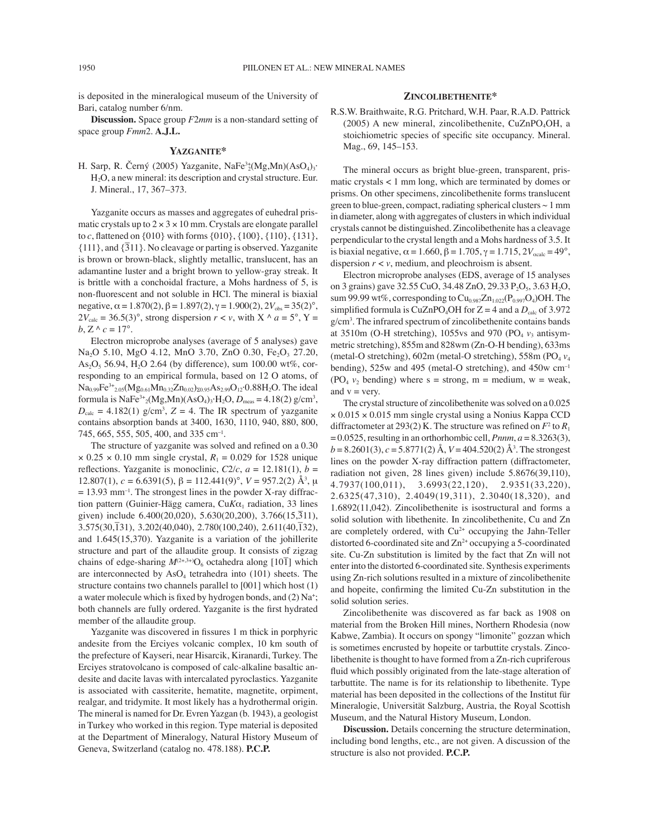is deposited in the mineralogical museum of the University of Bari, catalog number 6/nm.

**Discussion.** Space group *F*2*mm* is a non-standard setting of space group *Fmm*2. **A.J.L.**

#### **YAZGANITE\***

H. Sarp, R. Černý (2005) Yazganite, NaFe<sup>3</sup><sup>+</sup><sub>2</sub>(Mg,Mn)(AsO<sub>4</sub>)<sub>3</sub>· H2O, a new mineral: its description and crystal structure. Eur. J. Mineral., 17, 367-373.

Yazganite occurs as masses and aggregates of euhedral prismatic crystals up to  $2 \times 3 \times 10$  mm. Crystals are elongate parallel to *c*, flattened on  $\{010\}$  with forms  $\{010\}$ ,  $\{100\}$ ,  $\{110\}$ ,  $\{131\}$ ,  ${111}$ , and  ${311}$ . No cleavage or parting is observed. Yazganite is brown or brown-black, slightly metallic, translucent, has an adamantine luster and a bright brown to yellow-gray streak. It is brittle with a conchoidal fracture, a Mohs hardness of 5, is non-fluorescent and not soluble in HCl. The mineral is biaxial negative,  $\alpha = 1.870(2)$ ,  $\beta = 1.897(2)$ ,  $\gamma = 1.900(2)$ ,  $2V_{obs} = 35(2)^\circ$ ,  $2V_{\text{calc}} = 36.5(3)$ °, strong dispersion  $r < v$ , with X  $\land a = 5^\circ$ , Y =  $b, Z \wedge c = 17^\circ$ .

Electron microprobe analyses (average of 5 analyses) gave Na<sub>2</sub>O 5.10, MgO 4.12, MnO 3.70, ZnO 0.30, Fe<sub>2</sub>O<sub>3</sub> 27.20,  $As<sub>2</sub>O<sub>5</sub> 56.94, H<sub>2</sub>O 2.64$  (by difference), sum 100.00 wt%, corresponding to an empirical formula, based on 12 O atoms, of  $Na_{0.99}Fe^{3+}{}_{2.05}(Mg_{0.61}Mn_{0.32}Zn_{0.02})_{\Sigma 0.95}As_{2.99}O_{12}\cdot 0.88H_2O.$  The ideal formula is  $NaFe^{3+2}(Mg, Mn)(AsO<sub>4</sub>)<sub>3</sub>·H<sub>2</sub>O, D<sub>meas</sub> = 4.18(2) g/cm<sup>3</sup>,$  $D_{\text{calc}} = 4.182(1)$  g/cm<sup>3</sup>,  $Z = 4$ . The IR spectrum of yazganite contains absorption bands at 3400, 1630, 1110, 940, 880, 800, 745, 665, 555, 505, 400, and 335 cm<sup>-1</sup>.

The structure of yazganite was solved and refined on a 0.30  $\times$  0.25  $\times$  0.10 mm single crystal,  $R_1$  = 0.029 for 1528 unique reflections. Yazganite is monoclinic,  $C2/c$ ,  $a = 12.181(1)$ ,  $b =$ 12.807(1), *c* = 6.6391(5), β = 112.441(9)°, *V* = 957.2(2) Å<sup>3</sup>, μ  $= 13.93$  mm<sup>-1</sup>. The strongest lines in the powder X-ray diffraction pattern (Guinier-Hägg camera,  $CuK\alpha_1$  radiation, 33 lines given) include 6.400(20,020), 5.630(20,200), 3.766(15,311),  $3.575(30, \overline{1}31)$ ,  $3.202(40,040)$ ,  $2.780(100,240)$ ,  $2.611(40, \overline{1}32)$ , and 1.645(15,370). Yazganite is a variation of the johillerite structure and part of the allaudite group. It consists of zigzag chains of edge-sharing  $M^{(2+,3+)}O_6$  octahedra along [10<sup>T</sup>] which are interconnected by  $AsO<sub>4</sub>$  tetrahedra into (101) sheets. The structure contains two channels parallel to [001] which host (1) a water molecule which is fixed by hydrogen bonds, and (2) Na<sup>+</sup>; both channels are fully ordered. Yazganite is the first hydrated member of the allaudite group.

Yazganite was discovered in fissures 1 m thick in porphyric andesite from the Erciyes volcanic complex, 10 km south of the prefecture of Kayseri, near Hisarcik, Kiranardi, Turkey. The Erciyes stratovolcano is composed of calc-alkaline basaltic andesite and dacite lavas with intercalated pyroclastics. Yazganite is associated with cassiterite, hematite, magnetite, orpiment, realgar, and tridymite. It most likely has a hydrothermal origin. The mineral is named for Dr. Evren Yazgan (b. 1943), a geologist in Turkey who worked in this region. Type material is deposited at the Department of Mineralogy, Natural History Museum of Geneva, Switzerland (catalog no. 478.188). **P.C.P.**

## **ZINCOLIBETHENITE\***

R.S.W. Braithwaite, R.G. Pritchard, W.H. Paar, R.A.D. Pattrick (2005) A new mineral, zincolibethenite, CuZnPO<sub>4</sub>OH, a stoichiometric species of specific site occupancy. Mineral. Mag., 69, 145-153.

The mineral occurs as bright blue-green, transparent, prismatic crystals < 1 mm long, which are terminated by domes or prisms. On other specimens, zincolibethenite forms translucent green to blue-green, compact, radiating spherical clusters  $\sim 1$  mm in diameter, along with aggregates of clusters in which individual crystals cannot be distinguished. Zincolibethenite has a cleavage perpendicular to the crystal length and a Mohs hardness of 3.5. It is biaxial negative,  $\alpha = 1.660$ ,  $\beta = 1.705$ ,  $\gamma = 1.715$ ,  $2V_{\text{scale}} = 49^{\circ}$ , dispersion  $r \lt v$ , medium, and pleochroism is absent.

Electron microprobe analyses (EDS, average of 15 analyses on 3 grains) gave 32.55 CuO, 34.48 ZnO, 29.33  $P_2O_5$ , 3.63 H<sub>2</sub>O, sum 99.99 wt%, corresponding to  $Cu<sub>0.987</sub>Zn<sub>1.022</sub>(P<sub>0.997</sub>O<sub>4</sub>)OH$ . The simplified formula is CuZnPO<sub>4</sub>OH for  $Z = 4$  and a  $D_{\text{calc}}$  of 3.972 g/cm3 . The infrared spectrum of zincolibethenite contains bands at  $3510m$  (O-H stretching),  $1055vs$  and  $970$  (PO<sub>4</sub>  $v_3$  antisymmetric stretching), 855m and 828wm (Zn-O-H bending), 633ms (metal-O stretching), 602m (metal-O stretching), 558m (PO4 *v*<sup>4</sup> bending),  $525w$  and  $495$  (metal-O stretching), and  $450w$  cm<sup>-1</sup> (PO<sub>4</sub>  $v_2$  bending) where s = strong, m = medium, w = weak, and  $v = \text{very.}$ 

The crystal structure of zincolibethenite was solved on a 0.025 × 0.015 × 0.015 mm single crystal using a Nonius Kappa CCD diffractometer at 293(2) K. The structure was refined on  $F^2$  to  $R_1$ = 0.0525, resulting in an orthorhombic cell, *Pnnm*, *a* = 8.3263(3), *b* = 8.2601(3), *c* = 5.8771(2) Å, *V* = 404.520(2) Å3 . The strongest lines on the powder X-ray diffraction pattern (diffractometer, radiation not given, 28 lines given) include 5.8676(39,110), 4.7937(100,011), 3.6993(22,120), 2.9351(33,220), 2.6325(47,310), 2.4049(19,311), 2.3040(18,320), and 1.6892(11,042). Zincolibethenite is isostructural and forms a solid solution with libethenite. In zincolibethenite, Cu and Zn are completely ordered, with  $Cu<sup>2+</sup>$  occupying the Jahn-Teller distorted 6-coordinated site and  $Zn^{2+}$  occupying a 5-coordinated site. Cu-Zn substitution is limited by the fact that Zn will not enter into the distorted 6-coordinated site. Synthesis experiments using Zn-rich solutions resulted in a mixture of zincolibethenite and hopeite, confirming the limited Cu-Zn substitution in the solid solution series.

Zincolibethenite was discovered as far back as 1908 on material from the Broken Hill mines, Northern Rhodesia (now Kabwe, Zambia). It occurs on spongy "limonite" gozzan which is sometimes encrusted by hopeite or tarbuttite crystals. Zincolibethenite is thought to have formed from a Zn-rich cupriferous fluid which possibly originated from the late-stage alteration of tarbuttite. The name is for its relationship to libethenite. Type material has been deposited in the collections of the Institut für Mineralogie, Universität Salzburg, Austria, the Royal Scottish Museum, and the Natural History Museum, London.

**Discussion.** Details concerning the structure determination, including bond lengths, etc., are not given. A discussion of the structure is also not provided. **P.C.P.**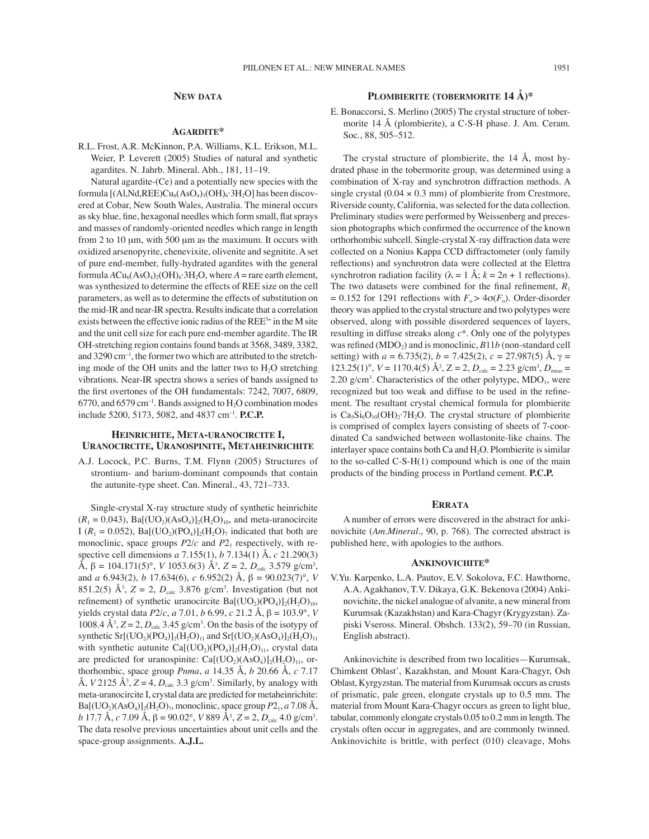## **NEW DATA**

## **AGARDITE\***

R.L. Frost, A.R. McKinnon, P.A. Williams, K.L. Erikson, M.L. Weier, P. Leverett (2005) Studies of natural and synthetic agardites. N. Jahrb. Mineral. Abh., 181, 11-19.

Natural agardite-(Ce) and a potentially new species with the formula  $[(A1, Nd, REE)Cu<sub>6</sub>(AsO<sub>4</sub>)<sub>3</sub>(OH)<sub>6</sub>·3H<sub>2</sub>O]$  has been discovered at Cobar, New South Wales, Australia. The mineral occurs as sky blue, fine, hexagonal needles which form small, flat sprays and masses of randomly-oriented needles which range in length from 2 to 10 µm, with 500 µm as the maximum. It occurs with oxidized arsenopyrite, chenevixite, olivenite and segnitite. A set of pure end-member, fully-hydrated agardites with the general formula  $ACu_6(AsO_4)_2(OH)_6.3H_2O$ , where  $A =$  rare earth element, was synthesized to determine the effects of REE size on the cell parameters, as well as to determine the effects of substitution on the mid-IR and near-IR spectra. Results indicate that a correlation exists between the effective ionic radius of the REE<sup>3+</sup> in the M site and the unit cell size for each pure end-member agardite. The IR OH-stretching region contains found bands at 3568, 3489, 3382, and  $3290 \text{ cm}^{-1}$ , the former two which are attributed to the stretching mode of the OH units and the latter two to  $H_2O$  stretching vibrations. Near-IR spectra shows a series of bands assigned to the first overtones of the OH fundamentals: 7242, 7007, 6809, 6770, and 6579 cm<sup>-1</sup>. Bands assigned to  $H_2O$  combination modes include 5200, 5173, 5082, and 4837 cm<sup>-1</sup>. **P.C.P.** 

## **HEINRICHITE, META-URANOCIRCITE I, URANOCIRCITE, URANOSPINITE, METAHEINRICHITE**

A.J. Locock, P.C. Burns, T.M. Flynn (2005) Structures of strontium- and barium-dominant compounds that contain the autunite-type sheet. Can. Mineral., 43, 721-733.

Single-crystal X-ray structure study of synthetic heinrichite  $(R_1 = 0.043)$ , Ba[(UO<sub>2</sub>)(AsO<sub>4</sub>)]<sub>2</sub>(H<sub>2</sub>O)<sub>10</sub>, and meta-uranocircite I ( $R_1 = 0.052$ ), Ba[(UO<sub>2</sub>)(PO<sub>4</sub>)]<sub>2</sub>(H<sub>2</sub>O)<sub>7</sub> indicated that both are monoclinic, space groups  $P2/c$  and  $P2<sub>1</sub>$  respectively, with respective cell dimensions *a* 7.155(1), *b* 7.134(1) Å, *c* 21.290(3)  $\hat{A}$ , β = 104.171(5)°, *V* 1053.6(3)  $\hat{A}$ <sup>3</sup>, *Z* = 2, *D*<sub>calc</sub> 3.579 g/cm<sup>3</sup>, and *a* 6.943(2), *b* 17.634(6), *c* 6.952(2) Å, β = 90.023(7)°, *V* 851.2(5)  $\AA^3$ ,  $Z = 2$ ,  $D_{\text{calc}}$  3.876 g/cm<sup>3</sup>. Investigation (but not refinement) of synthetic uranocircite  $Ba[(UO<sub>2</sub>)(PO<sub>4</sub>)]<sub>2</sub>(H<sub>2</sub>O)<sub>10</sub>$ , yields crystal data *P*2/*c*, *a* 7.01, *b* 6.99, *c* 21.2 Å, β = 103.9°, *V* 1008.4  $\AA^3$ ,  $Z = 2$ ,  $D_{\text{calc}}$  3.45 g/cm<sup>3</sup>. On the basis of the isotypy of synthetic Sr[(UO<sub>2</sub>)(PO<sub>4</sub>)]<sub>2</sub>(H<sub>2</sub>O)<sub>11</sub> and Sr[(UO<sub>2</sub>)(AsO<sub>4</sub>)]<sub>2</sub>(H<sub>2</sub>O)<sub>11</sub> with synthetic autunite  $Ca[(UO<sub>2</sub>)(PO<sub>4</sub>)]<sub>2</sub>(H<sub>2</sub>O)<sub>11</sub>$ , crystal data are predicted for uranospinite:  $Ca[(UO<sub>2</sub>)(AsO<sub>4</sub>)]<sub>2</sub>(H<sub>2</sub>O)<sub>11</sub>$ , orthorhombic, space group *Pnma*, *a* 14.35 Å, *b* 20.66 Å, *c* 7.17 Å,  $V$  2125 Å<sup>3</sup>,  $Z = 4$ ,  $D_{\text{calc}}$  3.3 g/cm<sup>3</sup>. Similarly, by analogy with meta-uranocircite I, crystal data are predicted for metaheinrichite:  $Ba[(UO<sub>2</sub>)(AsO<sub>4</sub>)]<sub>2</sub>(H<sub>2</sub>O)<sub>7</sub>$ , monoclinic, space group  $P2<sub>1</sub>$ , *a* 7.08 Å, *b* 17.7 Å, *c* 7.09 Å,  $\beta = 90.02^{\circ}$ , *V* 889 Å<sup>3</sup>, *Z* = 2, *D*<sub>calc</sub> 4.0 g/cm<sup>3</sup>. The data resolve previous uncertainties about unit cells and the space-group assignments. **A.J.L.**

# **PLOMBIERITE (TOBERMORITE 14 Å)\***

E. Bonaccorsi, S. Merlino (2005) The crystal structure of tobermorite 14 Å (plombierite), a C-S-H phase. J. Am. Ceram. Soc., 88, 505-512.

The crystal structure of plombierite, the 14 Å, most hydrated phase in the tobermorite group, was determined using a combination of X-ray and synchrotron diffraction methods. A single crystal  $(0.04 \times 0.3 \text{ mm})$  of plombierite from Crestmore, Riverside county, California, was selected for the data collection. Preliminary studies were performed by Weissenberg and precession photographs which confirmed the occurrence of the known orthorhombic subcell. Single-crystal X-ray diffraction data were collected on a Nonius Kappa CCD diffractometer (only family reflections) and synchrotron data were collected at the Elettra synchrotron radiation facility ( $\lambda = 1$  Å;  $k = 2n + 1$  reflections). The two datasets were combined for the final refinement,  $R_1$  $= 0.152$  for 1291 reflections with  $F_{o} > 4\sigma(F_{o})$ . Order-disorder theory was applied to the crystal structure and two polytypes were observed, along with possible disordered sequences of layers, resulting in diffuse streaks along *c*\*. Only one of the polytypes was refined  $(MDO<sub>2</sub>)$  and is monoclinic,  $B11b$  (non-standard cell setting) with  $a = 6.735(2)$ ,  $b = 7.425(2)$ ,  $c = 27.987(5)$  Å,  $\gamma =$ 123.25(1)°,  $V = 1170.4(5)$  Å<sup>3</sup>,  $Z = 2$ ,  $D_{calc} = 2.23$  g/cm<sup>3</sup>,  $D_{meas} =$  $2.20 \text{ g/cm}^3$ . Characteristics of the other polytype, MDO<sub>1</sub>, were recognized but too weak and diffuse to be used in the refinement. The resultant crystal chemical formula for plombierite is  $Ca<sub>5</sub>Si<sub>6</sub>O<sub>10</sub>(OH)<sub>2</sub>·7H<sub>2</sub>O$ . The crystal structure of plombierite is comprised of complex layers consisting of sheets of 7-coordinated Ca sandwiched between wollastonite-like chains. The interlayer space contains both Ca and  $H_2O$ . Plombierite is similar to the so-called C-S-H(1) compound which is one of the main products of the binding process in Portland cement. **P.C.P.**

# **ERRATA**

A number of errors were discovered in the abstract for ankinovichite (*Am.Mineral.*, 90, p. 768). The corrected abstract is published here, with apologies to the authors.

#### **ANKINOVICHITE\***

V.Yu. Karpenko, L.A. Pautov, E.V. Sokolova, F.C. Hawthorne, A.A. Agakhanov, T.V. Dikaya, G.K. Bekenova (2004) Ankinovichite, the nickel analogue of alvanite, a new mineral from Kurumsak (Kazakhstan) and Kara-Chagyr (Krygyzstan). Zapiski Vseross. Mineral. Obshch. 133(2), 59-70 (in Russian, English abstract).

Ankinovichite is described from two localities-Kurumsak, Chimkent Oblast', Kazakhstan, and Mount Kara-Chagyr, Osh Oblast, Kyrgyzstan. The material from Kurumsak occurs as crusts of prismatic, pale green, elongate crystals up to 0.5 mm. The material from Mount Kara-Chagyr occurs as green to light blue, tabular, commonly elongate crystals 0.05 to 0.2 mm in length. The crystals often occur in aggregates, and are commonly twinned. Ankinovichite is brittle, with perfect (010) cleavage, Mohs